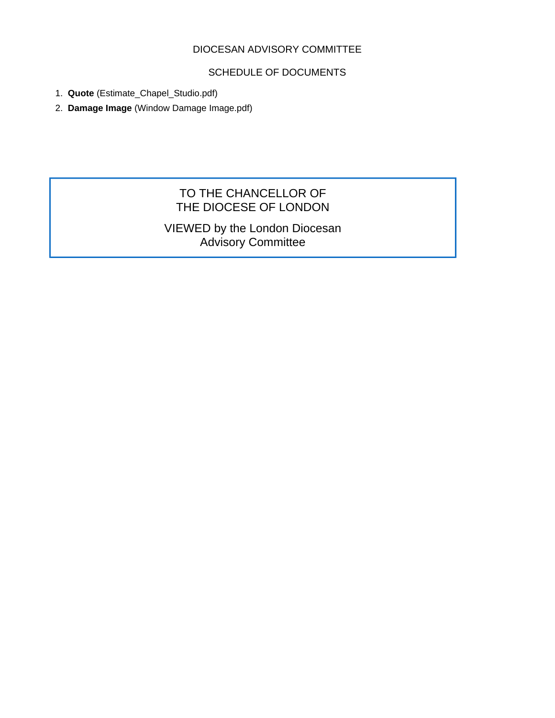### DIOCESAN ADVISORY COMMITTEE

# SCHEDULE OF DOCUMENTS

- 1. **Quote** (Estimate\_Chapel\_Studio.pdf)
- 2. **Damage Image** (Window Damage Image.pdf)

# TO THE CHANCELLOR OF THE DIOCESE OF LONDON

VIEWED by the London Diocesan Advisory Committee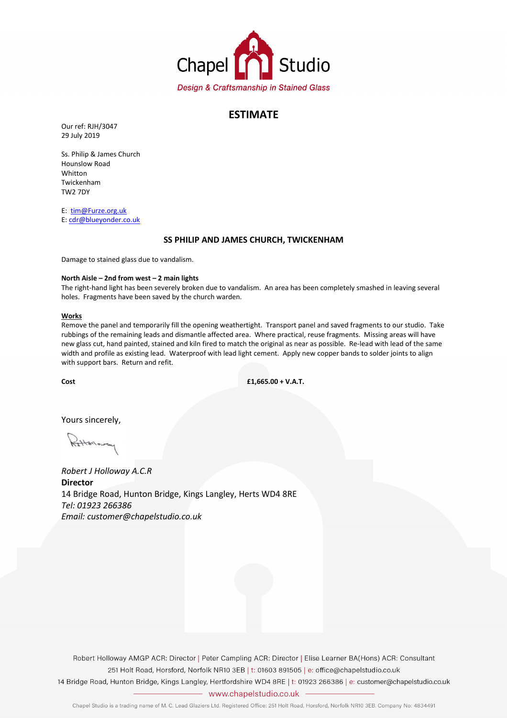

### ESTIMATE

Our ref: RJH/3047 29 July 2019

Ss. Philip & James Church Hounslow Road Whitton Twickenham TW2 7DY

E: tim@Furze.org.uk E: cdr@blueyonder.co.uk

### SS PHILIP AND JAMES CHURCH, TWICKENHAM

Damage to stained glass due to vandalism.

### North Aisle – 2nd from west – 2 main lights

The right-hand light has been severely broken due to vandalism. An area has been completely smashed in leaving several holes. Fragments have been saved by the church warden.

### Works

Remove the panel and temporarily fill the opening weathertight. Transport panel and saved fragments to our studio. Take rubbings of the remaining leads and dismantle affected area. Where practical, reuse fragments. Missing areas will have new glass cut, hand painted, stained and kiln fired to match the original as near as possible. Re-lead with lead of the same width and profile as existing lead. Waterproof with lead light cement. Apply new copper bands to solder joints to align with support bars. Return and refit.

 $Cost$   $f1.665.00 + V.A.T.$ 

Yours sincerely,

Robert J Holloway A.C.R **Director** 14 Bridge Road, Hunton Bridge, Kings Langley, Herts WD4 8RE Tel: 01923 266386 Email: customer@chapelstudio.co.uk

Robert Holloway AMGP ACR: Director | Peter Campling ACR: Director | Elise Learner BA(Hons) ACR: Consultant 251 Holt Road, Horsford, Norfolk NR10 3EB | t: 01603 891505 | e: office@chapelstudio.co.uk

14 Bridge Road, Hunton Bridge, Kings Langley, Hertfordshire WD4 8RE | t: 01923 266386 | e: customer@chapelstudio.co.uk - www.chapelstudio.co.uk -

Chapel Studio is a trading name of M. C. Lead Glaziers Ltd. Registered Office: 251 Holt Road, Horsford, Norfolk NR10 3EB. Company No: 4834491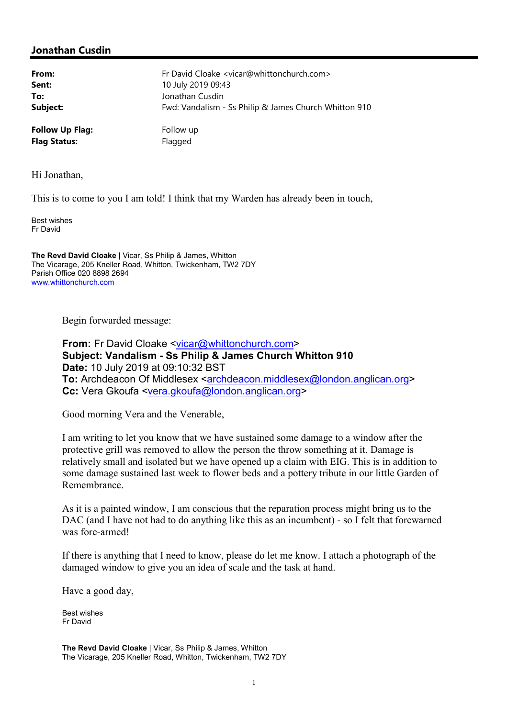# Jonathan Cusdin

| From:                  | Fr David Cloake <vicar@whittonchurch.com></vicar@whittonchurch.com> |
|------------------------|---------------------------------------------------------------------|
| Sent:                  | 10 July 2019 09:43                                                  |
| To:                    | Jonathan Cusdin                                                     |
| Subject:               | Fwd: Vandalism - Ss Philip & James Church Whitton 910               |
| <b>Follow Up Flag:</b> | Follow up                                                           |
| <b>Flag Status:</b>    | Flagged                                                             |

Hi Jonathan,

This is to come to you I am told! I think that my Warden has already been in touch,

Best wishes Fr David

The Revd David Cloake | Vicar, Ss Philip & James, Whitton The Vicarage, 205 Kneller Road, Whitton, Twickenham, TW2 7DY Parish Office 020 8898 2694 www.whittonchurch.com

Begin forwarded message:

From: Fr David Cloake <vicar@whittonchurch.com> Subject: Vandalism - Ss Philip & James Church Whitton 910 Date: 10 July 2019 at 09:10:32 BST To: Archdeacon Of Middlesex <archdeacon.middlesex@london.anglican.org> Cc: Vera Gkoufa <vera.gkoufa@london.anglican.org>

Good morning Vera and the Venerable,

I am writing to let you know that we have sustained some damage to a window after the protective grill was removed to allow the person the throw something at it. Damage is relatively small and isolated but we have opened up a claim with EIG. This is in addition to some damage sustained last week to flower beds and a pottery tribute in our little Garden of Remembrance.

As it is a painted window, I am conscious that the reparation process might bring us to the DAC (and I have not had to do anything like this as an incumbent) - so I felt that forewarned was fore-armed!

If there is anything that I need to know, please do let me know. I attach a photograph of the damaged window to give you an idea of scale and the task at hand.

Have a good day,

Best wishes Fr David

The Revd David Cloake | Vicar, Ss Philip & James, Whitton The Vicarage, 205 Kneller Road, Whitton, Twickenham, TW2 7DY